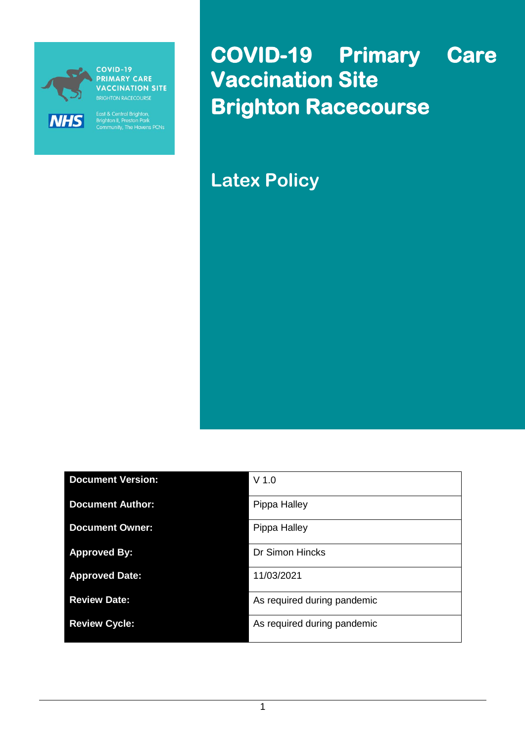

**COVID-19 PRIMARY CARE** VACCINATION SITE

East & Central Brighton,<br>Brighton II, Preston Park<br>Community, The Havens PCNs

**COVID-19 Primary Care Vaccination Site Brighton Racecourse** 

**Latex Policy**

| <b>Document Version:</b> | $V$ 1.0                     |
|--------------------------|-----------------------------|
| <b>Document Author:</b>  | Pippa Halley                |
| <b>Document Owner:</b>   | Pippa Halley                |
| <b>Approved By:</b>      | <b>Dr Simon Hincks</b>      |
| <b>Approved Date:</b>    | 11/03/2021                  |
| <b>Review Date:</b>      | As required during pandemic |
| <b>Review Cycle:</b>     | As required during pandemic |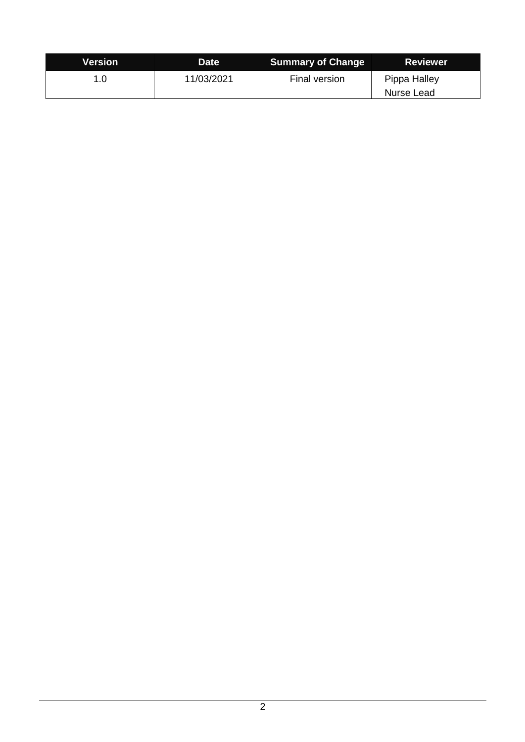| Version | Date       | <b>Summary of Change</b> | <b>Reviewer</b>            |
|---------|------------|--------------------------|----------------------------|
| 1.0     | 11/03/2021 | Final version            | Pippa Halley<br>Nurse Lead |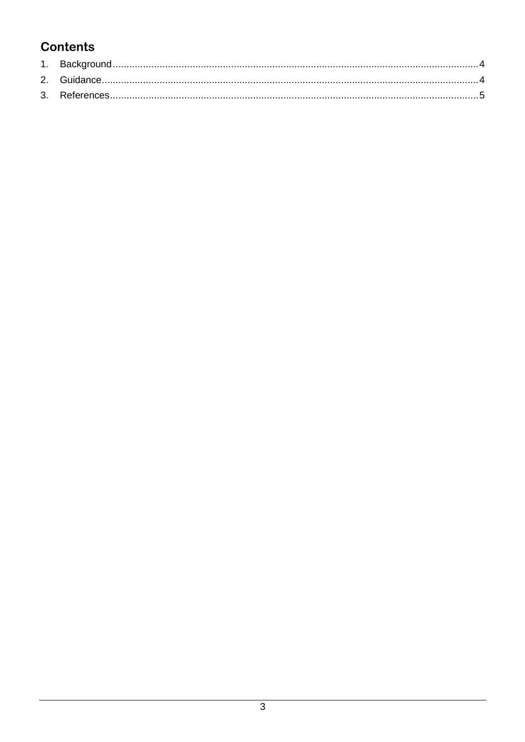## **Contents**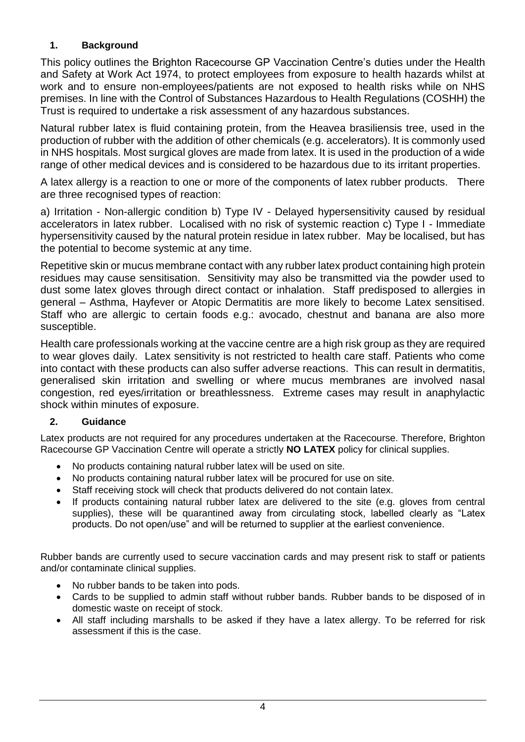## <span id="page-3-0"></span>**1. Background**

This policy outlines the Brighton Racecourse GP Vaccination Centre's duties under the Health and Safety at Work Act 1974, to protect employees from exposure to health hazards whilst at work and to ensure non-employees/patients are not exposed to health risks while on NHS premises. In line with the Control of Substances Hazardous to Health Regulations (COSHH) the Trust is required to undertake a risk assessment of any hazardous substances.

Natural rubber latex is fluid containing protein, from the Heavea brasiliensis tree, used in the production of rubber with the addition of other chemicals (e.g. accelerators). It is commonly used in NHS hospitals. Most surgical gloves are made from latex. It is used in the production of a wide range of other medical devices and is considered to be hazardous due to its irritant properties.

A latex allergy is a reaction to one or more of the components of latex rubber products. There are three recognised types of reaction:

a) Irritation - Non-allergic condition b) Type IV - Delayed hypersensitivity caused by residual accelerators in latex rubber. Localised with no risk of systemic reaction c) Type I - Immediate hypersensitivity caused by the natural protein residue in latex rubber. May be localised, but has the potential to become systemic at any time.

Repetitive skin or mucus membrane contact with any rubber latex product containing high protein residues may cause sensitisation. Sensitivity may also be transmitted via the powder used to dust some latex gloves through direct contact or inhalation. Staff predisposed to allergies in general – Asthma, Hayfever or Atopic Dermatitis are more likely to become Latex sensitised. Staff who are allergic to certain foods e.g.: avocado, chestnut and banana are also more susceptible.

Health care professionals working at the vaccine centre are a high risk group as they are required to wear gloves daily. Latex sensitivity is not restricted to health care staff. Patients who come into contact with these products can also suffer adverse reactions. This can result in dermatitis, generalised skin irritation and swelling or where mucus membranes are involved nasal congestion, red eyes/irritation or breathlessness. Extreme cases may result in anaphylactic shock within minutes of exposure.

## <span id="page-3-1"></span>**2. Guidance**

Latex products are not required for any procedures undertaken at the Racecourse. Therefore, Brighton Racecourse GP Vaccination Centre will operate a strictly **NO LATEX** policy for clinical supplies.

- No products containing natural rubber latex will be used on site.
- No products containing natural rubber latex will be procured for use on site.
- Staff receiving stock will check that products delivered do not contain latex.
- If products containing natural rubber latex are delivered to the site (e.g. gloves from central supplies), these will be quarantined away from circulating stock, labelled clearly as "Latex products. Do not open/use" and will be returned to supplier at the earliest convenience.

Rubber bands are currently used to secure vaccination cards and may present risk to staff or patients and/or contaminate clinical supplies.

- No rubber bands to be taken into pods.
- Cards to be supplied to admin staff without rubber bands. Rubber bands to be disposed of in domestic waste on receipt of stock.
- All staff including marshalls to be asked if they have a latex allergy. To be referred for risk assessment if this is the case.